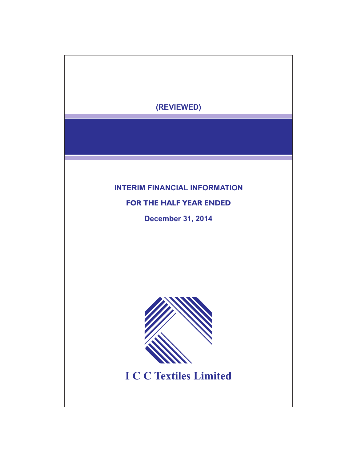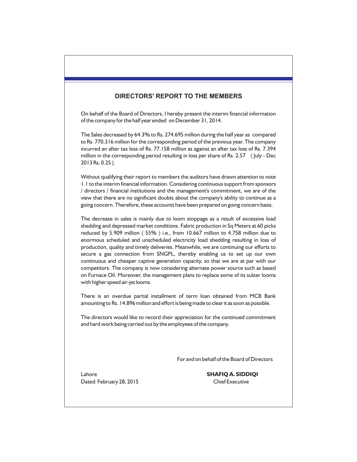# **DIRECTORS' REPORT TO THE MEMBERS**

On behalf of the Board of Directors, I hereby present the interim financial information of the company for the half year ended on December 31, 2014.

The Sales decreased by 64.3% to Rs. 274.695 million during the half year as compared to Rs. 770.316 million for the corresponding period of the previous year. The company incurred an after tax loss of Rs. 77.158 million as against an after tax loss of Rs. 7.394 million in the corresponding period resulting in loss per share of Rs. 2.57 ( July - Dec 2013 Rs. 0.25 ).

Without qualifying their report to members the auditors have drawn attention to note 1.1 to the interim financial information. Considering continuous support from sponsors / directors / financial institutions and the management's commitment, we are of the view that there are no significant doubts about the company's ability to continue as a going concern. Therefore, these accounts have been prepared on going concern basis.

The decrease in sales is mainly due to loom stoppage as a result of excessive load shedding and depressed market conditions. Fabric production in Sq Meters at 60 picks reduced by 5.909 million ( 55% ) i.e., from 10.667 million to 4.758 million due to enormous scheduled and unscheduled electricity load shedding resulting in loss of production, quality and timely deliveries. Meanwhile, we are continuing our efforts to secure a gas connection from SNGPL, thereby enabling us to set up our own continuous and cheaper captive generation capacity, so that we are at par with our competitors. The company is now considering alternate power source such as based on Furnace Oil. Moreover, the management plans to replace some of its sulzer looms with higher speed air-jet looms.

There is an overdue partial installment of term loan obtained from MCB Bank amounting to Rs. 14.896 million and effort is being made to clear it as soon as possible.

The directors would like to record their appreciation for the continued commitment and hard work being carried out by the employees of the company.

For and on behalf of the Board of Directors

Dated: February 28, 2015 Chief Executive

Lahore **SHAFIQ A. SIDDIQI**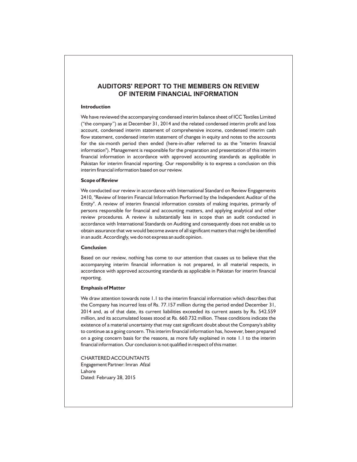# **AUDITORS' REPORT TO THE MEMBERS ON REVIEW OF INTERIM FINANCIAL INFORMATION**

#### **Introduction**

We have reviewed the accompanying condensed interim balance sheet of ICC Textiles Limited ("the company") as at December 31, 2014 and the related condensed interim profit and loss account, condensed interim statement of comprehensive income, condensed interim cash flow statement, condensed interim statement of changes in equity and notes to the accounts for the six-month period then ended (here-in-after referred to as the "interim financial information"). Management is responsible for the preparation and presentation of this interim financial information in accordance with approved accounting standards as applicable in Pakistan for interim financial reporting. Our responsibility is to express a conclusion on this interim financial information based on our review.

#### **Scope of Review**

We conducted our review in accordance with International Standard on Review Engagements 2410, "Review of Interim Financial Information Performed by the Independent Auditor of the Entity". A review of interim financial information consists of making inquiries, primarily of persons responsible for financial and accounting matters, and applying analytical and other review procedures. A review is substantially less in scope than an audit conducted in accordance with International Standards on Auditing and consequently does not enable us to obtain assurance that we would become aware of all significant matters that might be identified in an audit. Accordingly, we do not express an audit opinion.

#### **Conclusion**

Based on our review, nothing has come to our attention that causes us to believe that the accompanying interim financial information is not prepared, in all material respects, in accordance with approved accounting standards as applicable in Pakistan for interim financial reporting.

#### **Emphasis of Matter**

We draw attention towards note 1.1 to the interim financial information which describes that the Company has incurred loss of Rs. 77.157 million during the period ended December 31, 2014 and, as of that date, its current liabilities exceeded its current assets by Rs. 542.559 million, and its accumulated losses stood at Rs. 660.732 million. These conditions indicate the existence of a material uncertainty that may cast significant doubt about the Company's ability to continue as a going concern. This interim financial information has, however, been prepared on a going concern basis for the reasons, as more fully explained in note 1.1 to the interim financial information. Our conclusion is not qualified in respect of this matter.

CHARTERED ACCOUNTANTS Engagement Partner: Imran Afzal Lahore Dated: February 28, 2015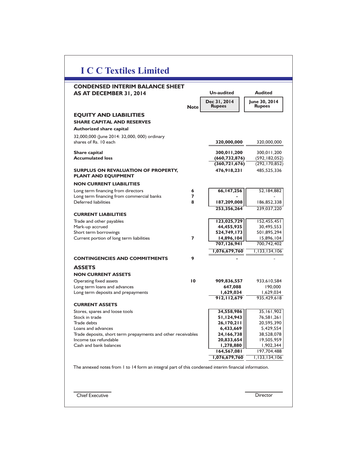| <b>CONDENSED INTERIM BALANCE SHEET</b><br>AS AT DECEMBER 31, 2014        |                 | <b>Un-audited</b>             | <b>Audited</b>                 |
|--------------------------------------------------------------------------|-----------------|-------------------------------|--------------------------------|
|                                                                          | <b>Note</b>     | Dec 31, 2014<br><b>Rupees</b> | June 30, 2014<br><b>Rupees</b> |
| <b>EQUITY AND LIABILITIES</b>                                            |                 |                               |                                |
| <b>SHARE CAPITAL AND RESERVES</b>                                        |                 |                               |                                |
| <b>Authorized share capital</b>                                          |                 |                               |                                |
| 32,000,000 (June 2014: 32,000, 000) ordinary                             |                 |                               |                                |
| shares of Rs. 10 each                                                    |                 | 320,000,000                   | 320,000,000                    |
| Share capital                                                            |                 | 300,011,200                   | 300,011,200                    |
| <b>Accumulated loss</b>                                                  |                 | (660, 732, 876)               | (592, 182, 052)                |
|                                                                          |                 | (360, 721, 676)               | (292, 170, 852)                |
| <b>SURPLUS ON REVALUATION OF PROPERTY,</b><br><b>PLANT AND EQUIPMENT</b> |                 | 476,918,231                   | 485,525,336                    |
| <b>NON CURRENT LIABILITIES</b>                                           |                 |                               |                                |
| Long term financing from directors                                       | 6               | 66,147,256                    | 52,184,882                     |
| Long term financing from commercial banks                                | 7               |                               |                                |
| Deferred liabilities                                                     | 8               | 187,209,008                   | 186,852,338                    |
|                                                                          |                 | 253,356,264                   | 239,037,220                    |
| <b>CURRENT LIABILITIES</b>                                               |                 | 123,025,729                   |                                |
| Trade and other payables<br>Mark-up accrued                              |                 | 44,455,935                    | 152,455,451<br>30,495,553      |
| Short term borrowings                                                    |                 | 524,749,173                   | 501,895,294                    |
| Current portion of long term liabilities                                 | 7               | 14,896,104                    | 15,896,104                     |
|                                                                          |                 | 707,126,941                   | 700,742,402                    |
|                                                                          |                 | 1,076,679,760                 | 1,133,134,106                  |
| <b>CONTINGENCIES AND COMMITMENTS</b>                                     | 9               |                               |                                |
| <b>ASSETS</b>                                                            |                 |                               |                                |
| <b>NON CURRENT ASSETS</b>                                                |                 |                               |                                |
| Operating fixed assets                                                   | $\overline{10}$ | 909,836,557                   | 933,610,584                    |
| Long term loans and advances                                             |                 | 647,088                       | 190,000                        |
| Long term deposits and prepayments                                       |                 | 1,629,034                     | 1,629,034                      |
| <b>CURRENT ASSETS</b>                                                    |                 | 912,112,679                   | 935,429,618                    |
| Stores, spares and loose tools                                           |                 | 34,558,986                    | 35,161,902                     |
| Stock in trade                                                           |                 | 51,124,943                    | 76,581,261                     |
| Trade debts                                                              |                 | 26,170,211                    | 20,595,390                     |
| Loans and advances                                                       |                 | 6,433,669                     | 5,429,554                      |
| Trade deposits, short term prepayments and other receivables             |                 | 24,166,738                    | 38,528,078                     |
| Income tax refundable                                                    |                 | 20,833,654                    | 19,505,959                     |
| Cash and bank balances                                                   |                 | 1,278,880                     | 1,902,344<br>197,704,488       |
|                                                                          |                 | 164,567,081                   |                                |
|                                                                          |                 | 1,076,679,760                 | 1,133,134,106                  |

**Chief Executive Director**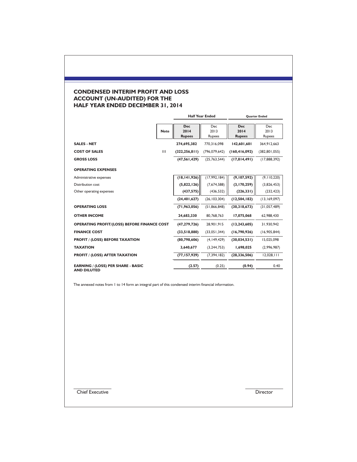# **CONDENSED INTERIM PROFIT AND LOSS ACCOUNT (UN-AUDITED) FOR THE HALF YEAR ENDED DECEMBER 31, 2014**

|                                                                 |              | <b>Half Year Ended</b>              |                              | <b>Ouarter Ended</b>                |                              |
|-----------------------------------------------------------------|--------------|-------------------------------------|------------------------------|-------------------------------------|------------------------------|
|                                                                 | <b>Note</b>  | <b>Dec</b><br>2014<br><b>Rupees</b> | <b>Dec</b><br>2013<br>Rupees | <b>Dec</b><br>2014<br><b>Rupees</b> | <b>Dec</b><br>2013<br>Rupees |
| <b>SALES - NET</b>                                              |              | 274.695.382                         | 770.316.098                  | 142.601.601                         | 364.912.663                  |
| <b>COST OF SALES</b>                                            | $\mathbf{H}$ | (322, 256, 811)                     | (796, 079, 642)              | (160, 416, 092)                     | (382, 801, 055)              |
| <b>GROSS LOSS</b>                                               |              | (47,561,429)                        | (25,763,544)                 | (17,814,491)                        | (17,888,392)                 |
| <b>OPERATING EXPENSES</b>                                       |              |                                     |                              |                                     |                              |
| Administrative expenses                                         |              | (18, 141, 926)                      | (17,992,184)                 | (9,107,592)                         | (9, 110, 220)                |
| Distribution cost                                               |              | (5,822,126)                         | (7,674,588)                  | (3,170,259)                         | (3,826,453)                  |
| Other operating expenses                                        |              | (437, 575)                          | (436, 532)                   | (226, 331)                          | (232, 423)                   |
|                                                                 |              | (24, 401, 627)                      | (26, 103, 304)               | (12,504,182)                        | (13, 169, 097)               |
| <b>OPERATING LOSS</b>                                           |              | (71, 963, 056)                      | (51, 866, 848)               | (30,318,673)                        | (31,057,489)                 |
| <b>OTHER INCOME</b>                                             |              | 24,683,330                          | 80,768,763                   | 17,075,068                          | 62,988,430                   |
| <b>OPERATING PROFIT/(LOSS) BEFORE FINANCE COST</b>              |              | (47, 279, 726)                      | 28,901,915                   | (13, 243, 605)                      | 31,930,942                   |
| <b>FINANCE COST</b>                                             |              | (33,518,880)                        | (33,051,344)                 | (16,790,926)                        | (16,905,844)                 |
| <b>PROFIT / (LOSS) BEFORE TAXATION</b>                          |              | (80,798,606)                        | (4, 149, 429)                | (30,034,531)                        | 15,025,098                   |
| <b>TAXATION</b>                                                 |              | 3,640,677                           | (3, 244, 753)                | 1,698,025                           | (2,996,987)                  |
| <b>PROFIT / (LOSS) AFTER TAXATION</b>                           |              | (77, 157, 929)                      | (7, 394, 182)                | (28, 336, 506)                      | 12,028,111                   |
| <b>EARNING / (LOSS) PER SHARE - BASIC</b><br><b>AND DILUTED</b> |              | (2.57)                              | (0.25)                       | (0.94)                              | 0.40                         |

The annexed notes from 1 to 14 form an integral part of this condensed interim financial information.

**Chief Executive Director**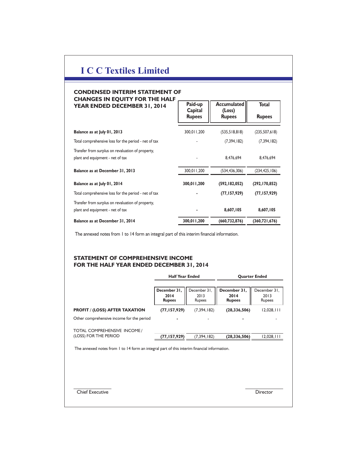# **I C C Textiles Limited**

### **CONDENSED INTERIM STATEMENT OF CHANGES IN EQUITY FOR THE HALF YEAR ENDED DECEMBER 31, 2014**

| CHANGES IN EQUITY FOR THE HALF<br>YEAR ENDED DECEMBER 31, 2014                        | Paid-up<br>Capital<br><b>Rupees</b> | <b>Accumulated</b><br>(Loss)<br><b>Rupees</b> | <b>Total</b><br><b>Rupees</b> |
|---------------------------------------------------------------------------------------|-------------------------------------|-----------------------------------------------|-------------------------------|
| Balance as at July 01, 2013                                                           | 300,011,200                         | (535,518,818)                                 | (235, 507, 618)               |
| Total comprehensive loss for the period - net of tax                                  |                                     | (7, 394, 182)                                 | (7, 394, 182)                 |
| Transfer from surplus on revaluation of property,<br>plant and equipment - net of tax |                                     | 8,476,694                                     | 8,476,694                     |
| Balance as at December 31, 2013                                                       | 300,011,200                         | (534, 436, 306)                               | (234, 425, 106)               |
| Balance as at July 01, 2014                                                           | 300,011,200                         | (592, 182, 052)                               | (292,170,852)                 |
| Total comprehensive loss for the period - net of tax                                  |                                     | (77, 157, 929)                                | (77, 157, 929)                |
| Transfer from surplus on revaluation of property,<br>plant and equipment - net of tax |                                     | 8,607,105                                     | 8,607,105                     |
| Balance as at December 31, 2014                                                       | 300,011,200                         | (660, 732, 876)                               | (360, 721, 676)               |

The annexed notes from 1 to 14 form an integral part of this interim financial information.

## **STATEMENT OF COMPREHENSIVE INCOME FOR THE HALF YEAR ENDED DECEMBER 31, 2014**

|                                                                                                                                                      | <b>Half Year Ended</b>                |                                | <b>Quarter Ended</b>                  |                                |  |
|------------------------------------------------------------------------------------------------------------------------------------------------------|---------------------------------------|--------------------------------|---------------------------------------|--------------------------------|--|
|                                                                                                                                                      | December 31,<br>2014<br><b>Rupees</b> | December 31,<br>2013<br>Rupees | December 31,<br>2014<br><b>Rupees</b> | December 31,<br>2013<br>Rupees |  |
| <b>PROFIT / (LOSS) AFTER TAXATION</b>                                                                                                                | (77, 157, 929)                        | (7, 394, 182)                  | (28, 336, 506)                        | 12,028,111                     |  |
| Other comprehensive income for the period                                                                                                            |                                       |                                |                                       |                                |  |
| TOTAL COMPREHENSIVE INCOME /<br>(LOSS) FOR THE PERIOD<br>The annexed notes from 1 to 14 form an integral part of this interim financial information. | (77,157,929)                          | (7, 394, 182)                  | (28, 336, 506)                        | 12,028,111                     |  |
| <b>Chief Executive</b>                                                                                                                               |                                       |                                |                                       | <b>Director</b>                |  |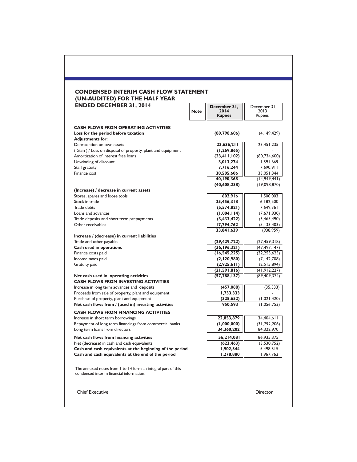|                                                          | (80,798,606)   | (4, 149, 429)                                                                                                                                                                                                                         |
|----------------------------------------------------------|----------------|---------------------------------------------------------------------------------------------------------------------------------------------------------------------------------------------------------------------------------------|
|                                                          |                | 23,451,235                                                                                                                                                                                                                            |
|                                                          |                |                                                                                                                                                                                                                                       |
|                                                          |                | (80, 734, 600)                                                                                                                                                                                                                        |
|                                                          |                | 1,591,669                                                                                                                                                                                                                             |
|                                                          |                | 7,690,911                                                                                                                                                                                                                             |
|                                                          | 30,505,606     | 33,051,344                                                                                                                                                                                                                            |
|                                                          | 40,190,368     | (14, 949, 441)                                                                                                                                                                                                                        |
|                                                          | (40, 608, 238) | (19,098,870)                                                                                                                                                                                                                          |
|                                                          |                |                                                                                                                                                                                                                                       |
|                                                          | 602,916        | 1,500,003                                                                                                                                                                                                                             |
|                                                          | 25,456,318     | 6,182,500                                                                                                                                                                                                                             |
|                                                          | (5,574,821)    | 7,649,361                                                                                                                                                                                                                             |
|                                                          |                | (7,671,930)                                                                                                                                                                                                                           |
|                                                          |                | (3,465,490)                                                                                                                                                                                                                           |
|                                                          |                | (5, 133, 403)                                                                                                                                                                                                                         |
|                                                          |                | (938, 959)                                                                                                                                                                                                                            |
|                                                          |                |                                                                                                                                                                                                                                       |
|                                                          |                | (27, 459, 318)<br>(47, 497, 147)                                                                                                                                                                                                      |
|                                                          |                | (32, 253, 625)                                                                                                                                                                                                                        |
|                                                          |                | (7, 142, 708)                                                                                                                                                                                                                         |
|                                                          |                | (2,515,894)                                                                                                                                                                                                                           |
|                                                          |                | (41, 912, 227)                                                                                                                                                                                                                        |
|                                                          | (57, 788, 137) | (89, 409, 374)                                                                                                                                                                                                                        |
|                                                          | (457,088)      | (35, 333)                                                                                                                                                                                                                             |
|                                                          | 1,733,333      |                                                                                                                                                                                                                                       |
|                                                          | (325, 652)     | (1,021,420)                                                                                                                                                                                                                           |
|                                                          | 950,593        | (1,056,753)                                                                                                                                                                                                                           |
|                                                          |                |                                                                                                                                                                                                                                       |
|                                                          | 22,853,879     | 34,404,611                                                                                                                                                                                                                            |
|                                                          | (1,000,000)    | (31, 792, 206)                                                                                                                                                                                                                        |
|                                                          | 34,360,202     | 84,322,970                                                                                                                                                                                                                            |
|                                                          | 56,214,081     | 86,935,375                                                                                                                                                                                                                            |
|                                                          | (623, 463)     | (3,530,752)                                                                                                                                                                                                                           |
| Cash and cash equivalents at the beginning of the period | 1,902,344      | 5,498,515                                                                                                                                                                                                                             |
|                                                          | 1,278,880      | 1,967,762                                                                                                                                                                                                                             |
|                                                          |                | 23,636,211<br>(1, 269, 865)<br>(23, 411, 102)<br>3,013,274<br>7,716,244<br>(1,004,114)<br>(3,433,422)<br>17,794,762<br>33,841,639<br>(29, 429, 722)<br>(36, 196, 321)<br>(16, 545, 225)<br>(2,120,980)<br>(2,925,611)<br>(21,591,816) |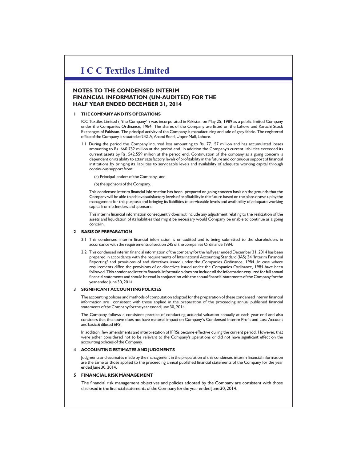# **I C C Textiles Limited**

## **NOTES TO THE CONDENSED INTERIM FINANCIAL INFORMATION (UN-AUDITED) FOR THE HALF YEAR ENDED DECEMBER 31, 2014**

#### **1 THE COMPANY AND ITS OPERATIONS**

ICC Textiles Limited ( the Company" ) was incorporated in Pakistan on May 25, 1989 as a public limited Company " under the Companies Ordinance, 1984. The shares of the Company are listed on the Lahore and Karachi Stock Exchanges of Pakistan. The principal activity of the Company is manufacturing and sale of grey fabric. The registered office of the Company is situated at 242-A, Anand Road, Upper Mall, Lahore.

- 1.1 During the period the Company incurred loss amounting to Rs. 77.157 million and has accumulated losses amounting to Rs. 660.732 million at the period end. In addition the Company's current liabilities exceeded its current assets by Rs. 542.559 million at the period end. Continuation of the company as a going concern is dependent on its ability to attain satisfactory levels of profitability in the future and continuous support of financial institutions by bringing its liabilities to serviceable levels and availability of adequate working capital through continuous support from:
	- (a) Principal lenders of the Company ; and

(b) the sponsors of the Company.

This condensed interim financial information has been prepared on going concern basis on the grounds that the Company will be able to achieve satisfactory levels of profitability in the future based on the plans drawn up by the management for this purpose and bringing its liabilities to serviceable levels and availability of adequate working capital from its lenders and sponsors.

This interim financial information consequently does not include any adjustment relating to the realization of the assets and liquidation of its liabilities that might be necessary would Company be unable to continue as a going concern.

#### **2 BASIS OF PREPARATION**

- 2.1 This condensed interim financial information is un-audited and is being submitted to the shareholders in accordance with the requirements of section 245 of the companies Ordinance 1984.
- 2.2 This condensed interim financial information of the company for the half year ended December 31, 2014 has been prepared in accordance with the requirements of International Accounting Standard (IAS) 34 "Interim Financial Reporting" and provisions of and directives issued under the Companies Ordinance, 1984. In case where requirements differ, the provisions of or directives issued under the Companies Ordinance, 1984 have been followed. This condensed interim financial information does not include all the information required for full annual financial statements and should be read in conjunction with the annual financial statements of the Company for the year ended June 30, 2014.

#### **3 SIGNIFICANT ACCOUNTING POLICIES**

The accounting policies and methods of computation adopted for the preparation of these condensed interim financial information are consistent with those applied in the preparation of the proceeding annual published financial statements of the Company for the year ended June 30, 2014.

The Company follows a consistent practice of conducting actuarial valuation annually at each year end and also considers that the above does not have material impact on Company's Condensed Interim Profit and Loss Account and basic & diluted EPS.

In addition, few amendments and interpretation of IFRSs became effective during the current period, However, that were either considered not to be relevant to the Company's operations or did not have significant effect on the accounting policies of the Company.

#### **4 ACCOUNTING ESTIMATES AND JUDGMENTS**

Judgments and estimates made by the management in the preparation of this condensed interim financial information are the same as those applied to the proceeding annual published financial statements of the Company for the year ended lune 30, 2014.

#### **5 FINANCIAL RISK MANAGEMENT**

The financial risk management objectives and policies adopted by the Company are consistent with those disclosed in the financial statements of the Company for the year ended June 30, 2014.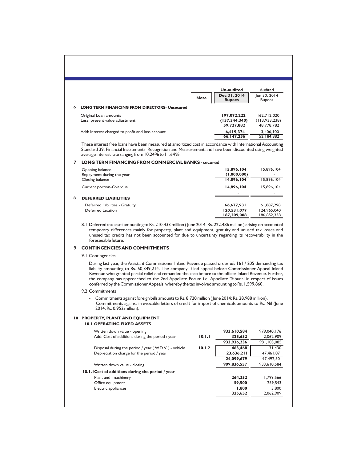|                                |                                                      |             | <b>Un-audited</b>             | Audited                |
|--------------------------------|------------------------------------------------------|-------------|-------------------------------|------------------------|
|                                |                                                      | <b>Note</b> | Dec 31, 2014<br><b>Rupees</b> | Jun 30, 2014<br>Rupees |
| 6                              | <b>LONG TERM FINANCING FROM DIRECTORS- Unsecured</b> |             |                               |                        |
| Original Loan amounts          |                                                      |             | 197,072,222                   | 162,712,020            |
| Less: present value adjustment |                                                      |             | (137, 344, 340)               | (113, 933, 238)        |
|                                |                                                      |             | 59,727,882                    | 48.778.782             |
|                                | Add: Interest charged to profit and loss account     |             | 6,419,374                     | 3,406,100              |
|                                |                                                      |             | 66, 147, 256                  | 52,184,882             |

These interest free loans have been measured at amortized cost in accordance with International Accounting Standard 39, Financial Instruments: Recognition and Measurement and have been discounted using weighted average interest rate ranging from 10.24% to 11.64%.

#### **7 LONG TERM FINANCING FROM COMMERCIAL BANKS - secured**

|   | Opening balance<br>Repayment during the year | 15,896,104<br>(1,000,000) | 15,896,104<br>۰ |
|---|----------------------------------------------|---------------------------|-----------------|
|   | Closing balance                              | 14,896,104                | 15.896.104      |
|   | Current portion-Overdue                      | 14.896.104                | 15.896.104      |
|   |                                              | $\blacksquare$            | -               |
| 8 | <b>DEFERRED LIABILITIES</b>                  |                           |                 |
|   | Deferred liabilities - Gratuity              | 66,677,931                | 61,887,298      |
|   | Deferred taxation                            | 120,531,077               | 124,965,040     |
|   |                                              | 187.209.008               | 186.852.338     |

8.1 Deferred tax asset amounting to Rs. 210.433 million ( June 2014: Rs. 222.486 million ) arising on account of temporary differences mainly for property, plant and equipment, gratuity and unused tax losses and unused tax credits has not been accounted for due to uncertainty regarding its recoverability in the foreseeable future.

#### **9 CONTINGENCIES AND COMMITMENTS**

9.1 Contingencies

During last year, the Assistant Commissioner Inland Revenue passed order u/s 161 / 205 demanding tax liability amounting to Rs. 50,349,214. The company filed appeal before Commissioner Appeal Inland Revenue who granted partial relief and remanded the case before to the officer Inland Revenue. Further, the company has approached to the 2nd Appellate Forum i.e. Appellate Tribunal in respect of issues conferred by the Commissioner Appeals, whereby the tax involved amounting to Rs. 1,599,860.

#### 9.2 Commitments

- Commitments against foreign bills amounts to Rs. 8.720 million ( June 2014: Rs. 28.988 million).
- Commitments against irrevocable letters of credit for import of chemicals amounts to Rs. Nil (June 2014: Rs. 0.952 million).

#### **10 PROPERTY, PLANT AND EQUIPMENT 10.1 OPERATING FIXED ASSETS**

| IV.I OPERATING FIAED ASSETS                          |        |             |             |
|------------------------------------------------------|--------|-------------|-------------|
| Written down value - opening                         |        | 933,610,584 | 979,040,176 |
| Add: Cost of additions during the period / year      | 10.1.1 | 325,652     | 2,062,909   |
|                                                      |        | 933,936,236 | 981,103,085 |
| Disposal during the period / year (W.D.V.) - vehicle | 10.1.2 | 463,468     | 31,430      |
| Depreciation charge for the period / year            |        | 23,636,211  | 47,461,071  |
|                                                      |        | 24,099,679  | 47,492,501  |
| Written down value - closing                         |        | 909,836,557 | 933,610,584 |
| 10.1.1 Cost of additions during the period / year    |        |             |             |
| Plant and machinery                                  |        | 264.352     | 1.799.566   |
| Office equipment                                     |        | 59.500      | 259.543     |
| Electric appliances                                  |        | 1,800       | 3,800       |
|                                                      |        | 325.652     | 2,062,909   |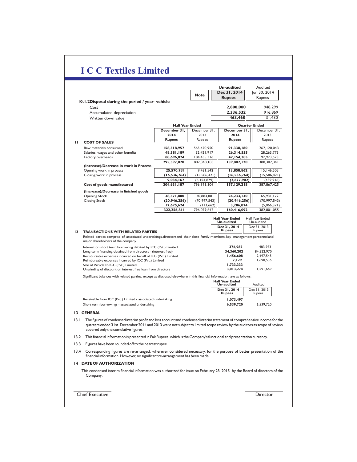#### **13 GENERAL** 13.1 The figures of condensed interim profit and loss account and condensed interim statement of comprehensive income for the  quarters ended 31st December 2014 and 2013 were not subject to limited scope review by the auditors as scope of review covered only the cumulative figures. 13.2 This financial information is presented in Pak Rupees, which is the Company's functional and presentation currency. 13.3 Figures have been rounded off to the nearest rupee. 13.4 Corresponding figures are re-arranged, wherever considered necessary, for the purpose of better presentation of the financial information. However, no significant re-arrangement has been made. **14 DATE OF AUTHORIZATION** This condensed interim financial information was authorized for issue on February 28, 2015 by the Board of directors of the Company . Chief Executive Director **Un-audited** Audited<br>**Dec 31, 2014** un 30, 2014 **Dec** 31, 2014 **Rupees** Rupees **Note** 2,800,000<br>2,336,532  **10.1.2Disposal during the period / year- vehicle** Cost **2,800,000** 948,299 Accumulated depreciation **2,336,532** 916,869<br>Written down value **2,000 and 2,336,532** 916,869 Written down value **Half Year Ended Quarter Ended December 31,** December 31, **December 31,** December 31, **2014** 2013 **2014** 2013 **Rupees** Rupees **Rupees** Rupees **Rupees 11 COST OF SALES** Raw materials consumed **158,518,957** 565,470,950 **91,338,180** 267,120,043 Salaries, wages and other benefits **48,381,189** 52,421,917 **26,314,555** 28,263,775 Factory overheads **88,696,874** 184,455,316 **42,154,385** 92,923,523<br>**88,696,874** 184,455,316 **42,154,385** 92,348,183 **295,597,020** 802,348,183 **159,807,120** 388,307,341 **(Increase)/Decrease in work in Process** Opening work in process **25,570,931** 9,431,542 **13,858,862** 15,146,505 Closing work in process **(16,536,764)** (15,586,421) (15,586,421) (15,586,421)<br>
9,034,167 (6,154,879) (2,677,902) (439,916) **9,034,167** (6,154,879) **(2,677,902)** (439,916)<br>**304,631,187** 796,193,304 **157,129,218** 387,867,425 **Cost of goods manufactured 304,631,187** 796,193,304 **157,129,218** 387,867,425 **(Increase)/Decrease in finished goods** Opening Stock **38,571,880** 70,883,881 **24,233,130** 65,931,172 Closing Stock **(20,946,256)** (70,997,543) (70,997,543) (20,946,256) (70,997,543) (20,946,256) (70,997,543) **17,625,624** (113,662) **3,286,874** (5,066,371) **322,256,811 12 TRANSACTIONS WITH RELATED PARTIES** Interest on short term borrowing debited by ICC (Pvt.) Limited  Long term financing obtained from directors - (interest free)  Reimbursable expenses incurred on behalf of ICC (Pvt.) Limited Reimbursable expenses incurred by ICC (Pvt.) Limited Sale of Vehicle to ICC (Pvt.) Limited Unwinding of discount on interest free loan from directors Receivable from ICC (Pvt.) Limited - associated undertaking Short term borrowings - associated undertaking Related parties comprise of associated undertakings,directorsand their close family members,key management personnel and major shareholders of the company. Significant balances with related parties, except as disclosed elsewhere in this financial information, are as follows: **Half** Year Ended<br>Un-audited **Un-audited** Un-audited **Dec 31, 2014** Dec 31, 2013<br>**Rupees** Rupees **376,982** 483,973 **34,360,202** 84,322,970 1,456,608<br>7,129 **7,129** 1,690,536 **1,733,333** - **3,013,274** 1,591,669 **Half Year Ended Un-audited** Audited **1,073,497** - **6,539,720** 6,539,720 **Dec** 31, 2014 Dec 31, 2014 Rupees **Rupees** Rupees **I C C Textiles Limited**